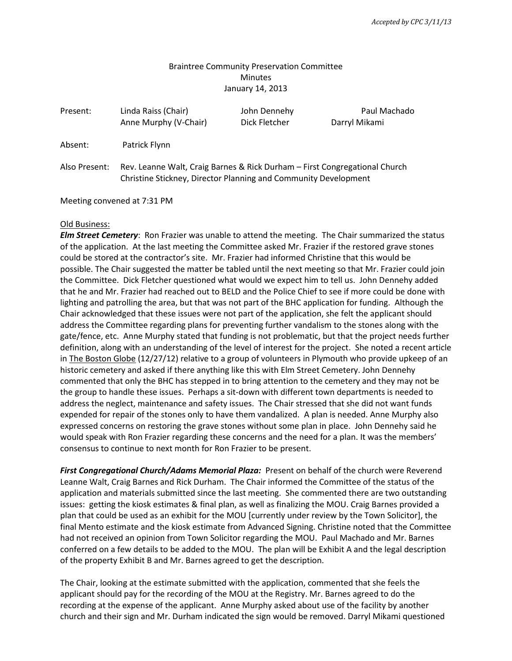## Braintree Community Preservation Committee **Minutes** January 14, 2013

| Present:      | Linda Raiss (Chair)<br>Anne Murphy (V-Chair)                                                                                                  | John Dennehy<br>Dick Fletcher | Paul Machado<br>Darryl Mikami |
|---------------|-----------------------------------------------------------------------------------------------------------------------------------------------|-------------------------------|-------------------------------|
| Absent:       | Patrick Flynn                                                                                                                                 |                               |                               |
| Also Present: | Rev. Leanne Walt, Craig Barnes & Rick Durham - First Congregational Church<br>Christine Stickney, Director Planning and Community Development |                               |                               |

Meeting convened at 7:31 PM

#### Old Business:

*Elm Street Cemetery*: Ron Frazier was unable to attend the meeting. The Chair summarized the status of the application. At the last meeting the Committee asked Mr. Frazier if the restored grave stones could be stored at the contractor's site. Mr. Frazier had informed Christine that this would be possible. The Chair suggested the matter be tabled until the next meeting so that Mr. Frazier could join the Committee. Dick Fletcher questioned what would we expect him to tell us. John Dennehy added that he and Mr. Frazier had reached out to BELD and the Police Chief to see if more could be done with lighting and patrolling the area, but that was not part of the BHC application for funding. Although the Chair acknowledged that these issues were not part of the application, she felt the applicant should address the Committee regarding plans for preventing further vandalism to the stones along with the gate/fence, etc. Anne Murphy stated that funding is not problematic, but that the project needs further definition, along with an understanding of the level of interest for the project. She noted a recent article in The Boston Globe (12/27/12) relative to a group of volunteers in Plymouth who provide upkeep of an historic cemetery and asked if there anything like this with Elm Street Cemetery. John Dennehy commented that only the BHC has stepped in to bring attention to the cemetery and they may not be the group to handle these issues. Perhaps a sit-down with different town departments is needed to address the neglect, maintenance and safety issues. The Chair stressed that she did not want funds expended for repair of the stones only to have them vandalized. A plan is needed. Anne Murphy also expressed concerns on restoring the grave stones without some plan in place. John Dennehy said he would speak with Ron Frazier regarding these concerns and the need for a plan. It was the members' consensus to continue to next month for Ron Frazier to be present.

*First Congregational Church/Adams Memorial Plaza:* Present on behalf of the church were Reverend Leanne Walt, Craig Barnes and Rick Durham. The Chair informed the Committee of the status of the application and materials submitted since the last meeting. She commented there are two outstanding issues: getting the kiosk estimates & final plan, as well as finalizing the MOU. Craig Barnes provided a plan that could be used as an exhibit for the MOU [currently under review by the Town Solicitor], the final Mento estimate and the kiosk estimate from Advanced Signing. Christine noted that the Committee had not received an opinion from Town Solicitor regarding the MOU. Paul Machado and Mr. Barnes conferred on a few details to be added to the MOU. The plan will be Exhibit A and the legal description of the property Exhibit B and Mr. Barnes agreed to get the description.

The Chair, looking at the estimate submitted with the application, commented that she feels the applicant should pay for the recording of the MOU at the Registry. Mr. Barnes agreed to do the recording at the expense of the applicant. Anne Murphy asked about use of the facility by another church and their sign and Mr. Durham indicated the sign would be removed. Darryl Mikami questioned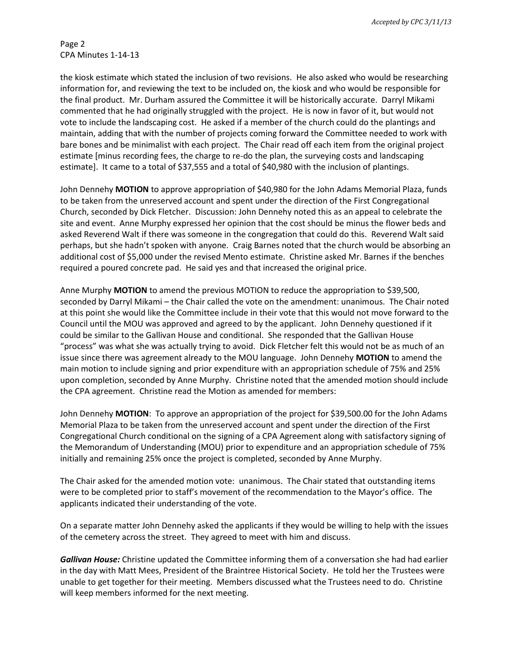Page 2 CPA Minutes 1-14-13

the kiosk estimate which stated the inclusion of two revisions. He also asked who would be researching information for, and reviewing the text to be included on, the kiosk and who would be responsible for the final product. Mr. Durham assured the Committee it will be historically accurate. Darryl Mikami commented that he had originally struggled with the project. He is now in favor of it, but would not vote to include the landscaping cost. He asked if a member of the church could do the plantings and maintain, adding that with the number of projects coming forward the Committee needed to work with bare bones and be minimalist with each project. The Chair read off each item from the original project estimate [minus recording fees, the charge to re-do the plan, the surveying costs and landscaping estimate]. It came to a total of \$37,555 and a total of \$40,980 with the inclusion of plantings.

John Dennehy **MOTION** to approve appropriation of \$40,980 for the John Adams Memorial Plaza, funds to be taken from the unreserved account and spent under the direction of the First Congregational Church, seconded by Dick Fletcher. Discussion: John Dennehy noted this as an appeal to celebrate the site and event. Anne Murphy expressed her opinion that the cost should be minus the flower beds and asked Reverend Walt if there was someone in the congregation that could do this. Reverend Walt said perhaps, but she hadn't spoken with anyone. Craig Barnes noted that the church would be absorbing an additional cost of \$5,000 under the revised Mento estimate. Christine asked Mr. Barnes if the benches required a poured concrete pad. He said yes and that increased the original price.

Anne Murphy **MOTION** to amend the previous MOTION to reduce the appropriation to \$39,500, seconded by Darryl Mikami – the Chair called the vote on the amendment: unanimous. The Chair noted at this point she would like the Committee include in their vote that this would not move forward to the Council until the MOU was approved and agreed to by the applicant. John Dennehy questioned if it could be similar to the Gallivan House and conditional. She responded that the Gallivan House "process" was what she was actually trying to avoid. Dick Fletcher felt this would not be as much of an issue since there was agreement already to the MOU language. John Dennehy **MOTION** to amend the main motion to include signing and prior expenditure with an appropriation schedule of 75% and 25% upon completion, seconded by Anne Murphy. Christine noted that the amended motion should include the CPA agreement. Christine read the Motion as amended for members:

John Dennehy **MOTION**: To approve an appropriation of the project for \$39,500.00 for the John Adams Memorial Plaza to be taken from the unreserved account and spent under the direction of the First Congregational Church conditional on the signing of a CPA Agreement along with satisfactory signing of the Memorandum of Understanding (MOU) prior to expenditure and an appropriation schedule of 75% initially and remaining 25% once the project is completed, seconded by Anne Murphy.

The Chair asked for the amended motion vote: unanimous. The Chair stated that outstanding items were to be completed prior to staff's movement of the recommendation to the Mayor's office. The applicants indicated their understanding of the vote.

On a separate matter John Dennehy asked the applicants if they would be willing to help with the issues of the cemetery across the street. They agreed to meet with him and discuss.

*Gallivan House:* Christine updated the Committee informing them of a conversation she had had earlier in the day with Matt Mees, President of the Braintree Historical Society. He told her the Trustees were unable to get together for their meeting. Members discussed what the Trustees need to do. Christine will keep members informed for the next meeting.